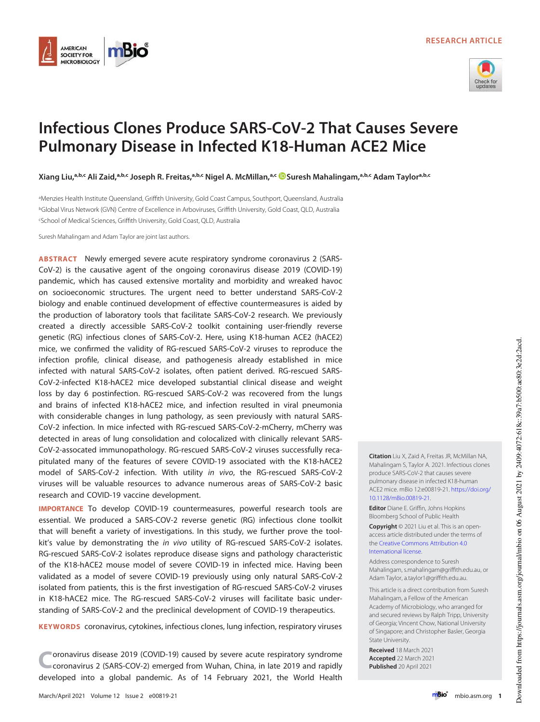



# Infectious Clones Produce SARS-CoV-2 That Causes Severe Pulmonary Disease in Infected K18-Human ACE2 Mice

Xiang Liu,ªb.c Ali Zaid,ªb.c Joseph R. Freitas,ªb.c Nigel A. McMillan,ªc ©Suresh Mahalingam,ªb.c Adam Taylorªb.c

<sup>a</sup>Menzies Health Institute Queensland, Griffith University, Gold Coast Campus, Southport, Queensland, Australia <sup>b</sup>Global Virus Network (GVN) Centre of Excellence in Arboviruses, Griffith University, Gold Coast, QLD, Australia <sup>c</sup>School of Medical Sciences, Griffith University, Gold Coast, QLD, Australia

Suresh Mahalingam and Adam Taylor are joint last authors.

ABSTRACT Newly emerged severe acute respiratory syndrome coronavirus 2 (SARS-CoV-2) is the causative agent of the ongoing coronavirus disease 2019 (COVID-19) pandemic, which has caused extensive mortality and morbidity and wreaked havoc on socioeconomic structures. The urgent need to better understand SARS-CoV-2 biology and enable continued development of effective countermeasures is aided by the production of laboratory tools that facilitate SARS-CoV-2 research. We previously created a directly accessible SARS-CoV-2 toolkit containing user-friendly reverse genetic (RG) infectious clones of SARS-CoV-2. Here, using K18-human ACE2 (hACE2) mice, we confirmed the validity of RG-rescued SARS-CoV-2 viruses to reproduce the infection profile, clinical disease, and pathogenesis already established in mice infected with natural SARS-CoV-2 isolates, often patient derived. RG-rescued SARS-CoV-2-infected K18-hACE2 mice developed substantial clinical disease and weight loss by day 6 postinfection. RG-rescued SARS-CoV-2 was recovered from the lungs and brains of infected K18-hACE2 mice, and infection resulted in viral pneumonia with considerable changes in lung pathology, as seen previously with natural SARS-CoV-2 infection. In mice infected with RG-rescued SARS-CoV-2-mCherry, mCherry was detected in areas of lung consolidation and colocalized with clinically relevant SARS-CoV-2-assocated immunopathology. RG-rescued SARS-CoV-2 viruses successfully recapitulated many of the features of severe COVID-19 associated with the K18-hACE2 model of SARS-CoV-2 infection. With utility in vivo, the RG-rescued SARS-CoV-2 viruses will be valuable resources to advance numerous areas of SARS-CoV-2 basic research and COVID-19 vaccine development.

IMPORTANCE To develop COVID-19 countermeasures, powerful research tools are essential. We produced a SARS-COV-2 reverse genetic (RG) infectious clone toolkit that will benefit a variety of investigations. In this study, we further prove the toolkit's value by demonstrating the in vivo utility of RG-rescued SARS-CoV-2 isolates. RG-rescued SARS-CoV-2 isolates reproduce disease signs and pathology characteristic of the K18-hACE2 mouse model of severe COVID-19 in infected mice. Having been validated as a model of severe COVID-19 previously using only natural SARS-CoV-2 isolated from patients, this is the first investigation of RG-rescued SARS-CoV-2 viruses in K18-hACE2 mice. The RG-rescued SARS-CoV-2 viruses will facilitate basic understanding of SARS-CoV-2 and the preclinical development of COVID-19 therapeutics.

KEYWORDS coronavirus, cytokines, infectious clones, lung infection, respiratory viruses

C oronavirus disease 2019 (COVID-19) caused by severe acute respiratory syndrome coronavirus 2 (SARS-COV-2) emerged from Wuhan, China, in late 2019 and rapidly developed into a global pandemic. As of 14 February 2021, the World Health Citation Liu X, Zaid A, Freitas JR, McMillan NA, Mahalingam S, Taylor A. 2021. Infectious clones produce SARS-CoV-2 that causes severe pulmonary disease in infected K18-human ACE2 mice. mBio 12:e00819-21. https://doi.org/ 10.1128/mBio.00819-21.

Editor Diane E. Griffin, Johns Hopkins Bloomberg School of Public Health

Copyright © 2021 Liu et al. This is an openaccess article distributed under the terms of the Creative Commons Attribution 4.0 International license.

Address correspondence to Suresh Mahalingam, s.mahalingam@griffith.edu.au, or Adam Taylor, a.taylor1@griffith.edu.au.

This article is a direct contribution from Suresh Mahalingam, a Fellow of the American Academy of Microbiology, who arranged for and secured reviews by Ralph Tripp, University of Georgia; Vincent Chow, National University of Singapore; and Christopher Basler, Georgia State University.

Received 18 March 2021 Accepted 22 March 2021 Published 20 April 2021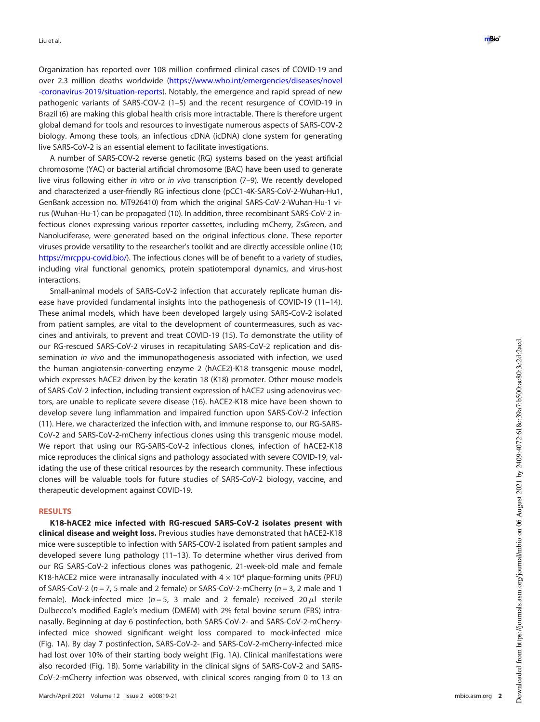Organization has reported over 108 million con firmed clinical cases of COVID-19 and over 2.3 million deaths worldwide (https://www.who.int/emergencies/diseases/novel -coronavirus-2019/situation-reports). Notably, the emergence and rapid spread of new pathogenic variants of SARS-COV-2 (1 –5) and the recent resurgence of COVID-19 in Brazil (6) are making this global health crisis more intractable. There is therefore urgent global demand for tools and resources to investigate numerous aspects of SARS-COV-2 biology. Among these tools, an infectious cDNA (icDNA) clone system for generating live SARS-CoV-2 is an essential element to facilitate investigations.

A number of SARS-COV-2 reverse genetic (RG) systems based on the yeast arti ficial chromosome (YAC) or bacterial arti ficial chromosome (BAC) have been used to generate live virus following either in vitro or in vivo transcription (7-9). We recently developed and characterized a user-friendly RG infectious clone (pCC1-4K-SARS-CoV-2-Wuhan-Hu1, GenBank accession no. MT926410) from which the original SARS-CoV-2-Wuhan-Hu-1 virus (Wuhan-Hu-1) can be propagated (10). In addition, three recombinant SARS-CoV-2 infectious clones expressing various reporter cassettes, including mCherry, ZsGreen, and Nanoluciferase, were generated based on the original infectious clone. These reporter viruses provide versatility to the researcher's toolkit and are directly accessible online (10; https://mrcppu-covid.bio/). The infectious clones will be of benefit to a variety of studies, including viral functional genomics, protein spatiotemporal dynamics, and virus-host interactions.

Small-animal models of SARS-CoV-2 infection that accurately replicate human disease have provided fundamental insights into the pathogenesis of COVID-19 (11–14). These animal models, which have been developed largely using SARS-CoV-2 isolated from patient samples, are vital to the development of countermeasures, such as vaccines and antivirals, to prevent and treat COVID-19 (15). To demonstrate the utility of our RG-rescued SARS-CoV-2 viruses in recapitulating SARS-CoV-2 replication and dissemination in vivo and the immunopathogenesis associated with infection, we used the human angiotensin-converting enzyme 2 (hACE2)-K18 transgenic mouse model, which expresses hACE2 driven by the keratin 18 (K18) promoter. Other mouse models of SARS-CoV-2 infection, including transient expression of hACE2 using adenovirus vectors, are unable to replicate severe disease (16). hACE2-K18 mice have been shown to develop severe lung in flammation and impaired function upon SARS-CoV-2 infection (11). Here, we characterized the infection with, and immune response to, our RG-SARS-CoV-2 and SARS-CoV-2-mCherry infectious clones using this transgenic mouse model. We report that using our RG-SARS-CoV-2 infectious clones, infection of hACE2-K18 mice reproduces the clinical signs and pathology associated with severe COVID-19, validating the use of these critical resources by the research community. These infectious clones will be valuable tools for future studies of SARS-CoV-2 biology, vaccine, and therapeutic development against COVID-19.

## RESULTS

K18-hACE2 mice infected with RG-rescued SARS-CoV-2 isolates present with clinical disease and weight loss. Previous studies have demonstrated that hACE2-K18 mice were susceptible to infection with SARS-COV-2 isolated from patient samples and developed severe lung pathology (11 –13). To determine whether virus derived from our RG SARS-CoV-2 infectious clones was pathogenic, 21-week-old male and female K18-hACE2 mice were intranasally inoculated with  $4 \times 10^4$  plaque-forming units (PFU) of SARS-CoV-2 ( $n = 7$ , 5 male and 2 female) or SARS-CoV-2-mCherry ( $n = 3$ , 2 male and 1 female). Mock-infected mice ( $n=5$ , 3 male and 2 female) received 20 $\mu$ l sterile Dulbecco's modified Eagle's medium (DMEM) with 2% fetal bovine serum (FBS) intranasally. Beginning at day 6 postinfection, both SARS-CoV-2- and SARS-CoV-2-mCherryinfected mice showed significant weight loss compared to mock-infected mice (Fig. 1A). By day 7 postinfection, SARS-CoV-2- and SARS-CoV-2-mCherry-infected mice had lost over 10% of their starting body weight (Fig. 1A). Clinical manifestations were also recorded (Fig. 1B). Some variability in the clinical signs of SARS-CoV-2 and SARS-CoV-2-mCherry infection was observed, with clinical scores ranging from 0 to 13 on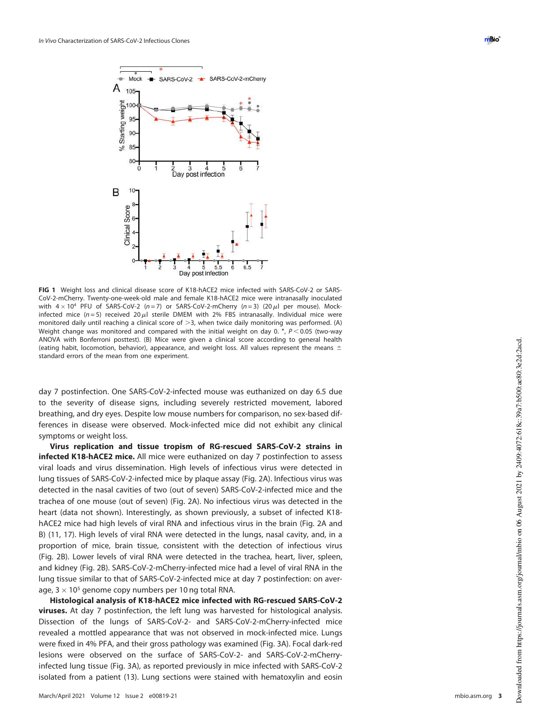

FIG 1 Weight loss and clinical disease score of K18-hACE2 mice infected with SARS-CoV-2 or SARS-CoV-2-mCherry. Twenty-one-week-old male and female K18-hACE2 mice were intranasally inoculated with  $4 \times 10^4$  PFU of SARS-CoV-2 (n = 7) or SARS-CoV-2-mCherry (n = 3) (20  $\mu$ l per mouse). Mockinfected mice ( $n = 5$ ) received 20  $\mu$ l sterile DMEM with 2% FBS intranasally. Individual mice were monitored daily until reaching a clinical score of  $>3$ , when twice daily monitoring was performed. (A) Weight change was monitored and compared with the initial weight on day 0.  $*$ ,  $P < 0.05$  (two-way ANOVA with Bonferroni posttest). (B) Mice were given a clinical score according to general health (eating habit, locomotion, behavior), appearance, and weight loss. All values represent the means  $\pm$ standard errors of the mean from one experiment.

day 7 postinfection. One SARS-CoV-2-infected mouse was euthanized on day 6.5 due to the severity of disease signs, including severely restricted movement, labored breathing, and dry eyes. Despite low mouse numbers for comparison, no sex-based differences in disease were observed. Mock-infected mice did not exhibit any clinical symptoms or weight loss.

Virus replication and tissue tropism of RG-rescued SARS-CoV-2 strains in infected K18-hACE2 mice. All mice were euthanized on day 7 postinfection to assess viral loads and virus dissemination. High levels of infectious virus were detected in lung tissues of SARS-CoV-2-infected mice by plaque assay (Fig. 2A). Infectious virus was detected in the nasal cavities of two (out of seven) SARS-CoV-2-infected mice and the trachea of one mouse (out of seven) (Fig. 2A). No infectious virus was detected in the heart (data not shown). Interestingly, as shown previously, a subset of infected K18 hACE2 mice had high levels of viral RNA and infectious virus in the brain (Fig. 2A and B) (11, 17). High levels of viral RNA were detected in the lungs, nasal cavity, and, in a proportion of mice, brain tissue, consistent with the detection of infectious virus (Fig. 2B). Lower levels of viral RNA were detected in the trachea, heart, liver, spleen, and kidney (Fig. 2B). SARS-CoV-2-mCherry-infected mice had a level of viral RNA in the lung tissue similar to that of SARS-CoV-2-infected mice at day 7 postinfection: on average,  $3 \times 10^5$  genome copy numbers per 10 ng total RNA.

Histological analysis of K18-hACE2 mice infected with RG-rescued SARS-CoV-2 viruses. At day 7 postinfection, the left lung was harvested for histological analysis. Dissection of the lungs of SARS-CoV-2- and SARS-CoV-2-mCherry-infected mice revealed a mottled appearance that was not observed in mock-infected mice. Lungs were fixed in 4% PFA, and their gross pathology was examined (Fig. 3A). Focal dark-red lesions were observed on the surface of SARS-CoV-2- and SARS-CoV-2-mCherryinfected lung tissue (Fig. 3A), as reported previously in mice infected with SARS-CoV-2 isolated from a patient (13). Lung sections were stained with hematoxylin and eosin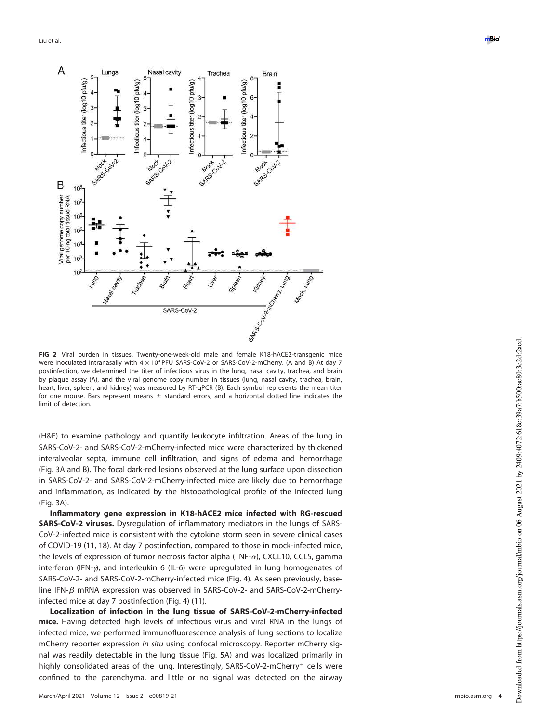

FIG 2 Viral burden in tissues. Twenty-one-week-old male and female K18-hACE2-transgenic mice were inoculated intranasally with  $4 \times 10^4$  PFU SARS-CoV-2 or SARS-CoV-2-mCherry. (A and B) At day 7 postinfection, we determined the titer of infectious virus in the lung, nasal cavity, trachea, and brain by plaque assay (A), and the viral genome copy number in tissues (lung, nasal cavity, trachea, brain, heart, liver, spleen, and kidney) was measured by RT-qPCR (B). Each symbol represents the mean titer for one mouse. Bars represent means  $\pm$  standard errors, and a horizontal dotted line indicates the limit of detection.

(H&E) to examine pathology and quantify leukocyte infiltration. Areas of the lung in SARS-CoV-2- and SARS-CoV-2-mCherry-infected mice were characterized by thickened interalveolar septa, immune cell infiltration, and signs of edema and hemorrhage (Fig. 3A and B). The focal dark-red lesions observed at the lung surface upon dissection in SARS-CoV-2- and SARS-CoV-2-mCherry-infected mice are likely due to hemorrhage and inflammation, as indicated by the histopathological profile of the infected lung (Fig. 3A).

Inflammatory gene expression in K18-hACE2 mice infected with RG-rescued SARS-CoV-2 viruses. Dysregulation of inflammatory mediators in the lungs of SARS-CoV-2-infected mice is consistent with the cytokine storm seen in severe clinical cases of COVID-19 (11, 18). At day 7 postinfection, compared to those in mock-infected mice, the levels of expression of tumor necrosis factor alpha (TNF- $\alpha$ ), CXCL10, CCL5, gamma interferon (IFN- $\gamma$ ), and interleukin 6 (IL-6) were upregulated in lung homogenates of SARS-CoV-2- and SARS-CoV-2-mCherry-infected mice (Fig. 4). As seen previously, baseline IFN- $\beta$  mRNA expression was observed in SARS-CoV-2- and SARS-CoV-2-mCherryinfected mice at day 7 postinfection (Fig. 4) (11).

Localization of infection in the lung tissue of SARS-CoV-2-mCherry-infected mice. Having detected high levels of infectious virus and viral RNA in the lungs of infected mice, we performed immunofluorescence analysis of lung sections to localize mCherry reporter expression in situ using confocal microscopy. Reporter mCherry signal was readily detectable in the lung tissue (Fig. 5A) and was localized primarily in highly consolidated areas of the lung. Interestingly, SARS-CoV-2-mCherry<sup>+</sup> cells were confined to the parenchyma, and little or no signal was detected on the airway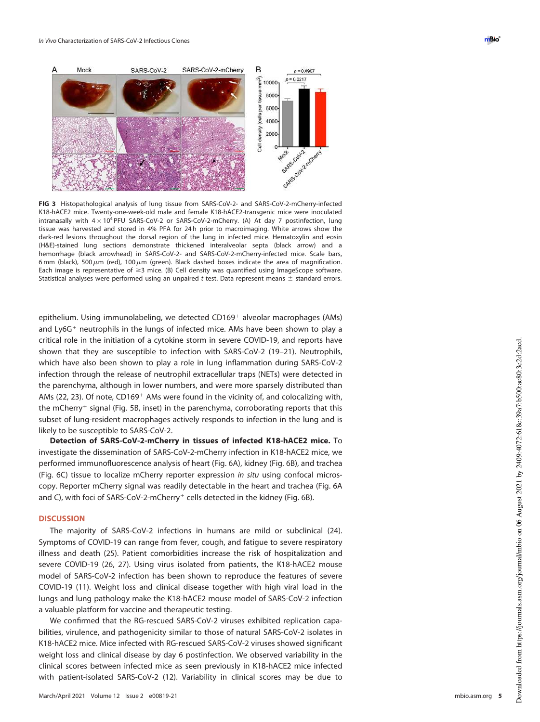



FIG 3 Histopathological analysis of lung tissue from SARS-CoV-2- and SARS-CoV-2-mCherry-infected K18-hACE2 mice. Twenty-one-week-old male and female K18-hACE2-transgenic mice were inoculated intranasally with  $4 \times 10^4$  PFU SARS-CoV-2 or SARS-CoV-2-mCherry. (A) At day 7 postinfection, lung tissue was harvested and stored in 4% PFA for 24 h prior to macroimaging. White arrows show the dark-red lesions throughout the dorsal region of the lung in infected mice. Hematoxylin and eosin (H&E)-stained lung sections demonstrate thickened interalveolar septa (black arrow) and a hemorrhage (black arrowhead) in SARS-CoV-2- and SARS-CoV-2-mCherry-infected mice. Scale bars, 6 mm (black), 500  $\mu$ m (red), 100  $\mu$ m (green). Black dashed boxes indicate the area of magnification. Each image is representative of  $\geq$ 3 mice. (B) Cell density was quantified using ImageScope software. Statistical analyses were performed using an unpaired t test. Data represent means  $\pm$  standard errors.

epithelium. Using immunolabeling, we detected  $CD169<sup>+</sup>$  alveolar macrophages (AMs) and Ly6G<sup>+</sup> neutrophils in the lungs of infected mice. AMs have been shown to play a critical role in the initiation of a cytokine storm in severe COVID-19, and reports have shown that they are susceptible to infection with SARS-CoV-2 (19–21). Neutrophils, which have also been shown to play a role in lung inflammation during SARS-CoV-2 infection through the release of neutrophil extracellular traps (NETs) were detected in the parenchyma, although in lower numbers, and were more sparsely distributed than AMs (22, 23). Of note, CD169<sup>+</sup> AMs were found in the vicinity of, and colocalizing with, the mCherry<sup>+</sup> signal (Fig. 5B, inset) in the parenchyma, corroborating reports that this subset of lung-resident macrophages actively responds to infection in the lung and is likely to be susceptible to SARS-CoV-2.

Detection of SARS-CoV-2-mCherry in tissues of infected K18-hACE2 mice. To investigate the dissemination of SARS-CoV-2-mCherry infection in K18-hACE2 mice, we performed immunofluorescence analysis of heart (Fig. 6A), kidney (Fig. 6B), and trachea (Fig. 6C) tissue to localize mCherry reporter expression in situ using confocal microscopy. Reporter mCherry signal was readily detectable in the heart and trachea (Fig. 6A and C), with foci of SARS-CoV-2-mCherry<sup>+</sup> cells detected in the kidney (Fig. 6B).

### **DISCUSSION**

The majority of SARS-CoV-2 infections in humans are mild or subclinical (24). Symptoms of COVID-19 can range from fever, cough, and fatigue to severe respiratory illness and death (25). Patient comorbidities increase the risk of hospitalization and severe COVID-19 (26, 27). Using virus isolated from patients, the K18-hACE2 mouse model of SARS-CoV-2 infection has been shown to reproduce the features of severe COVID-19 (11). Weight loss and clinical disease together with high viral load in the lungs and lung pathology make the K18-hACE2 mouse model of SARS-CoV-2 infection a valuable platform for vaccine and therapeutic testing.

We confirmed that the RG-rescued SARS-CoV-2 viruses exhibited replication capabilities, virulence, and pathogenicity similar to those of natural SARS-CoV-2 isolates in K18-hACE2 mice. Mice infected with RG-rescued SARS-CoV-2 viruses showed significant weight loss and clinical disease by day 6 postinfection. We observed variability in the clinical scores between infected mice as seen previously in K18-hACE2 mice infected with patient-isolated SARS-CoV-2 (12). Variability in clinical scores may be due to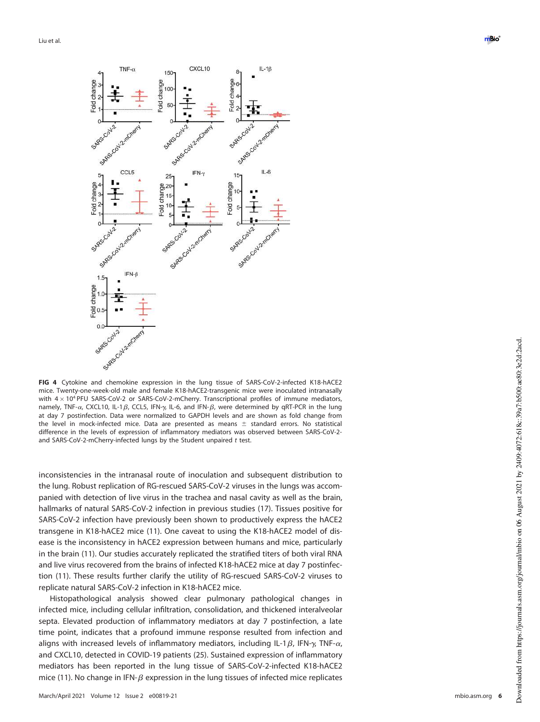

FIG 4 Cytokine and chemokine expression in the lung tissue of SARS-CoV-2-infected K18-hACE2 mice. Twenty-one-week-old male and female K18-hACE2-transgenic mice were inoculated intranasally with  $4 \times 10^4$  PFU SARS-CoV-2 or SARS-CoV-2-mCherry. Transcriptional profiles of immune mediators, namely, TNF- $\alpha$ , CXCL10, IL-1 $\beta$ , CCL5, IFN- $\gamma$ , IL-6, and IFN- $\beta$ , were determined by qRT-PCR in the lung at day 7 postinfection. Data were normalized to GAPDH levels and are shown as fold change from the level in mock-infected mice. Data are presented as means  $\pm$  standard errors. No statistical difference in the levels of expression of inflammatory mediators was observed between SARS-CoV-2 and SARS-CoV-2-mCherry-infected lungs by the Student unpaired t test.

inconsistencies in the intranasal route of inoculation and subsequent distribution to the lung. Robust replication of RG-rescued SARS-CoV-2 viruses in the lungs was accompanied with detection of live virus in the trachea and nasal cavity as well as the brain, hallmarks of natural SARS-CoV-2 infection in previous studies (17). Tissues positive for SARS-CoV-2 infection have previously been shown to productively express the hACE2 transgene in K18-hACE2 mice (11). One caveat to using the K18-hACE2 model of disease is the inconsistency in hACE2 expression between humans and mice, particularly in the brain (11). Our studies accurately replicated the stratified titers of both viral RNA and live virus recovered from the brains of infected K18-hACE2 mice at day 7 postinfection (11). These results further clarify the utility of RG-rescued SARS-CoV-2 viruses to replicate natural SARS-CoV-2 infection in K18-hACE2 mice.

Histopathological analysis showed clear pulmonary pathological changes in infected mice, including cellular infiltration, consolidation, and thickened interalveolar septa. Elevated production of inflammatory mediators at day 7 postinfection, a late time point, indicates that a profound immune response resulted from infection and aligns with increased levels of inflammatory mediators, including IL-1 $\beta$ , IFN- $\gamma$ , TNF- $\alpha$ , and CXCL10, detected in COVID-19 patients (25). Sustained expression of inflammatory mediators has been reported in the lung tissue of SARS-CoV-2-infected K18-hACE2 mice (11). No change in IFN- $\beta$  expression in the lung tissues of infected mice replicates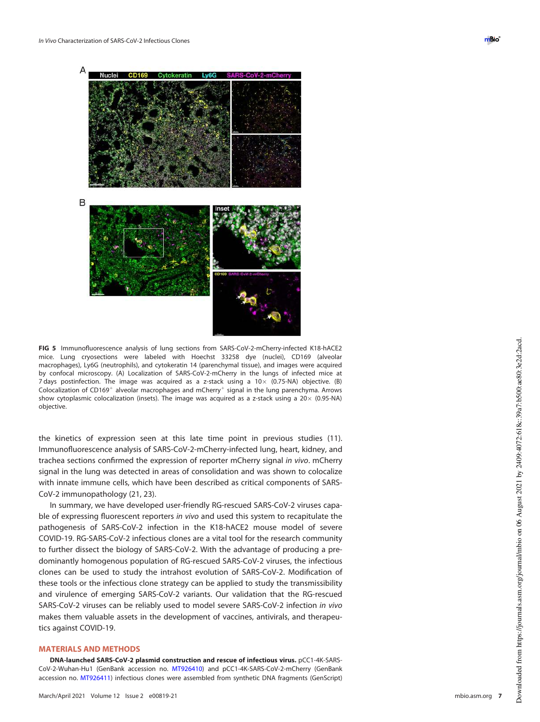



FIG 5 Immunofluorescence analysis of lung sections from SARS-CoV-2-mCherry-infected K18-hACE2 mice. Lung cryosections were labeled with Hoechst 33258 dye (nuclei), CD169 (alveolar macrophages), Ly6G (neutrophils), and cytokeratin 14 (parenchymal tissue), and images were acquired by confocal microscopy. (A) Localization of SARS-CoV-2-mCherry in the lungs of infected mice at 7 days postinfection. The image was acquired as a z-stack using a  $10 \times$  (0.75-NA) objective. (B) Colocalization of CD169<sup>+</sup> alveolar macrophages and mCherry<sup>+</sup> signal in the lung parenchyma. Arrows show cytoplasmic colocalization (insets). The image was acquired as a z-stack using a  $20 \times$  (0.95-NA) objective.

the kinetics of expression seen at this late time point in previous studies (11). Immunofluorescence analysis of SARS-CoV-2-mCherry-infected lung, heart, kidney, and trachea sections confirmed the expression of reporter mCherry signal in vivo. mCherry signal in the lung was detected in areas of consolidation and was shown to colocalize with innate immune cells, which have been described as critical components of SARS-CoV-2 immunopathology (21, 23).

In summary, we have developed user-friendly RG-rescued SARS-CoV-2 viruses capable of expressing fluorescent reporters in vivo and used this system to recapitulate the pathogenesis of SARS-CoV-2 infection in the K18-hACE2 mouse model of severe COVID-19. RG-SARS-CoV-2 infectious clones are a vital tool for the research community to further dissect the biology of SARS-CoV-2. With the advantage of producing a predominantly homogenous population of RG-rescued SARS-CoV-2 viruses, the infectious clones can be used to study the intrahost evolution of SARS-CoV-2. Modification of these tools or the infectious clone strategy can be applied to study the transmissibility and virulence of emerging SARS-CoV-2 variants. Our validation that the RG-rescued SARS-CoV-2 viruses can be reliably used to model severe SARS-CoV-2 infection in vivo makes them valuable assets in the development of vaccines, antivirals, and therapeutics against COVID-19.

#### MATERIALS AND METHODS

DNA-launched SARS-CoV-2 plasmid construction and rescue of infectious virus. pCC1-4K-SARS-CoV-2-Wuhan-Hu1 (GenBank accession no. MT926410) and pCC1-4K-SARS-CoV-2-mCherry (GenBank accession no. MT926411) infectious clones were assembled from synthetic DNA fragments (GenScript)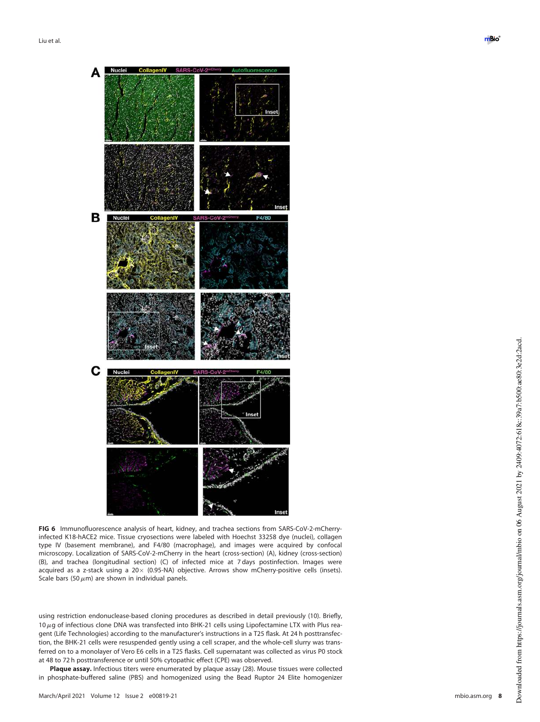

FIG 6 Immunofluorescence analysis of heart, kidney, and trachea sections from SARS-CoV-2-mCherryinfected K18-hACE2 mice. Tissue cryosections were labeled with Hoechst 33258 dye (nuclei), collagen type IV (basement membrane), and F4/80 (macrophage), and images were acquired by confocal microscopy. Localization of SARS-CoV-2-mCherry in the heart (cross-section) (A), kidney (cross-section) (B), and trachea (longitudinal section) (C) of infected mice at 7 days postinfection. Images were acquired as a z-stack using a  $20 \times (0.95\text{-NA})$  objective. Arrows show mCherry-positive cells (insets). Scale bars (50  $\mu$ m) are shown in individual panels.

using restriction endonuclease-based cloning procedures as described in detail previously (10). Briefly,  $10 \,\mu$ g of infectious clone DNA was transfected into BHK-21 cells using Lipofectamine LTX with Plus reagent (Life Technologies) according to the manufacturer's instructions in a T25 flask. At 24 h posttransfection, the BHK-21 cells were resuspended gently using a cell scraper, and the whole-cell slurry was transferred on to a monolayer of Vero E6 cells in a T25 flasks. Cell supernatant was collected as virus P0 stock at 48 to 72 h posttransference or until 50% cytopathic effect (CPE) was observed.

Plaque assay. Infectious titers were enumerated by plaque assay (28). Mouse tissues were collected in phosphate-buffered saline (PBS) and homogenized using the Bead Ruptor 24 Elite homogenizer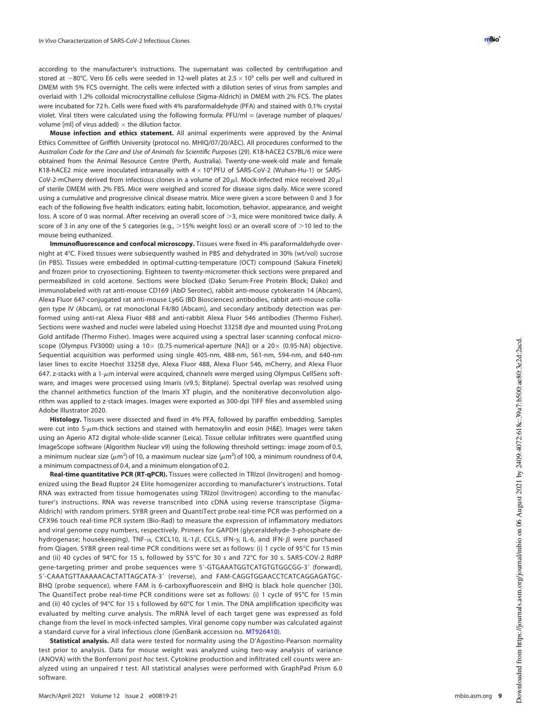according to the manufacturer's instructions. The supernatant was collected by centrifugation and stored at  $-80^{\circ}$ C. Vero E6 cells were seeded in 12-well plates at 2.5  $\times$  10<sup>5</sup> cells per well and cultured in DMEM with 5% FCS overnight. The cells were infected with a dilution series of virus from samples and overlaid with 1.2% colloidal microcrystalline cellulose (Sigma-Aldrich) in DMEM with 2% FCS. The plates were incubated for 72 h. Cells were fixed with 4% paraformaldehyde (PFA) and stained with 0.1% crystal violet. Viral titers were calculated using the following formula: PFU/ml = (average number of plaques/ volume [ml] of virus added)  $\times$  the dilution factor.

Mouse infection and ethics statement. All animal experiments were approved by the Animal Ethics Committee of Griffith University (protocol no. MHIQ/07/20/AEC). All procedures conformed to the Australian Code for the Care and Use of Animals for Scienti fic Purposes (29). K18-hACE2 C57BL/6 mice were obtained from the Animal Resource Centre (Perth, Australia). Twenty-one-week-old male and female K18-hACE2 mice were inoculated intranasally with  $4 \times 10^4$  PFU of SARS-CoV-2 (Wuhan-Hu-1) or SARS-CoV-2-mCherry derived from infectious clones in a volume of 20  $\mu$ l. Mock-infected mice received 20  $\mu$ l of sterile DMEM with 2% FBS. Mice were weighed and scored for disease signs daily. Mice were scored using a cumulative and progressive clinical disease matrix. Mice were given a score between 0 and 3 for each of the following five health indicators: eating habit, locomotion, behavior, appearance, and weight loss. A score of 0 was normal. After receiving an overall score of  $>$ 3, mice were monitored twice daily. A score of 3 in any one of the 5 categories (e.g., >15% weight loss) or an overall score of >10 led to the mouse being euthanized.

Immunofluorescence and confocal microscopy. Tissues were fixed in 4% paraformaldehyde overnight at 4°C. Fixed tissues were subsequently washed in PBS and dehydrated in 30% (wt/vol) sucrose (in PBS). Tissues were embedded in optimal-cutting-temperature (OCT) compound (Sakura Finetek) and frozen prior to cryosectioning. Eighteen to twenty-micrometer-thick sections were prepared and permeabilized in cold acetone. Sections were blocked (Dako Serum-Free Protein Block; Dako) and immunolabeled with rat anti-mouse CD169 (AbD Serotec), rabbit anti-mouse cytokeratin 14 (Abcam), Alexa Fluor 647-conjugated rat anti-mouse Ly6G (BD Biosciences) antibodies, rabbit anti-mouse collagen type IV (Abcam), or rat monoclonal F4/80 (Abcam), and secondary antibody detection was performed using anti-rat Alexa Fluor 488 and anti-rabbit Alexa Fluor 546 antibodies (Thermo Fisher). Sections were washed and nuclei were labeled using Hoechst 33258 dye and mounted using ProLong Gold antifade (Thermo Fisher). Images were acquired using a spectral laser scanning confocal microscope (Olympus FV3000) using a 10 $\times$  (0.75-numerical-aperture [NA]) or a 20 $\times$  (0.95-NA) objective. Sequential acquisition was performed using single 405-nm, 488-nm, 561-nm, 594-nm, and 640-nm laser lines to excite Hoechst 33258 dye, Alexa Fluor 488, Alexa Fluor 546, mCherry, and Alexa Fluor 647. z-stacks with a 1- $\mu$ m interval were acquired, channels were merged using Olympus CellSens software, and images were processed using Imaris (v9.5; Bitplane). Spectral overlap was resolved using the channel arithmetics function of the Imaris XT plugin, and the noniterative deconvolution algorithm was applied to z-stack images. Images were exported as 300-dpi TIFF files and assembled using Adobe Illustrator 2020.

Histology. Tissues were dissected and fixed in 4% PFA, followed by paraffin embedding. Samples were cut into 5- $\mu$ m-thick sections and stained with hematoxylin and eosin (H&E). Images were taken using an Aperio AT2 digital whole-slide scanner (Leica). Tissue cellular in filtrates were quanti fied using ImageScope software (Algorithm Nuclear v9) using the following threshold settings: image zoom of 0.5, a minimum nuclear size ( $\mu$ m<sup>2</sup>) of 10, a maximum nuclear size ( $\mu$ m<sup>2</sup>) of 100, a minimum roundness of 0.4, a minimum compactness of 0.4, and a minimum elongation of 0.2.

Real-time quantitative PCR (RT-qPCR). Tissues were collected in TRIzol (Invitrogen) and homogenized using the Bead Ruptor 24 Elite homogenizer according to manufacturer's instructions. Total RNA was extracted from tissue homogenates using TRIzol (Invitrogen) according to the manufacturer's instructions. RNA was reverse transcribed into cDNA using reverse transcriptase (Sigma-Aldrich) with random primers. SYBR green and QuantiTect probe real-time PCR was performed on a CFX96 touch real-time PCR system (Bio-Rad) to measure the expression of in flammatory mediators and viral genome copy numbers, respectively. Primers for GAPDH (glyceraldehyde-3-phosphate dehydrogenase; housekeeping), TNF- $\alpha$ , CXCL10, IL-1 $\beta$ , CCL5, IFN- $\gamma$ , IL-6, and IFN- $\beta$  were purchased from Qiagen. SYBR green real-time PCR conditions were set as follows: (i) 1 cycle of 95°C for 15 min and (ii) 40 cycles of 94°C for 15 s, followed by 55°C for 30 s and 72°C for 30 s. SARS-COV-2 RdRP gene-targeting primer and probe sequences were 5 9-GTGAAATGGTCATGTGTGGCGG-3 9 (forward), 5'-CAAATGTTAAAAACACTATTAGCATA-3' (reverse), and FAM-CAGGTGGAACCTCATCAGGAGATGC-BHQ (probe sequence), where FAM is 6-carboxyfluorescein and BHQ is black hole quencher (30). The QuantiTect probe real-time PCR conditions were set as follows: (i) 1 cycle of 95°C for 15 min and (ii) 40 cycles of 94°C for 15 s followed by 60°C for 1 min. The DNA amplification specificity was evaluated by melting curve analysis. The mRNA level of each target gene was expressed as fold change from the level in mock-infected samples. Viral genome copy number was calculated against a standard curve for a viral infectious clone (GenBank accession no. MT926410).

Statistical analysis. All data were tested for normality using the D'Agostino-Pearson normality test prior to analysis. Data for mouse weight was analyzed using two-way analysis of variance (ANOVA) with the Bonferroni post hoc test. Cytokine production and infiltrated cell counts were analyzed using an unpaired t test. All statistical analyses were performed with GraphPad Prism 6.0 software.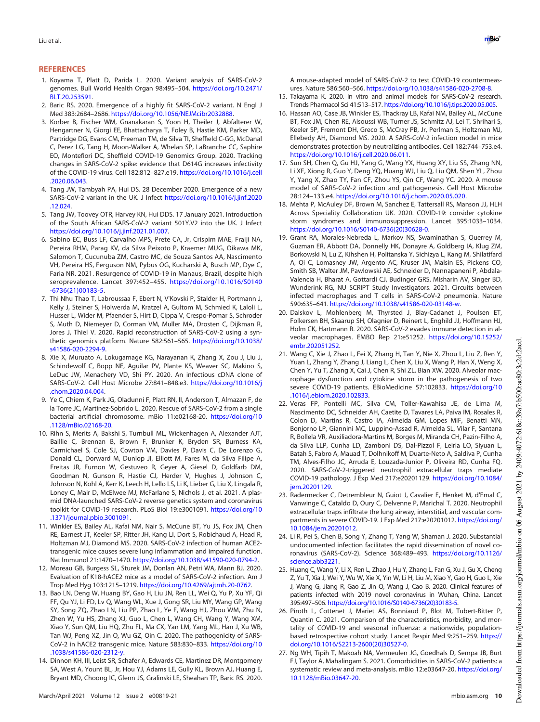#### **REFERENCES**

- 1. Koyama T, Platt D, Parida L. 2020. Variant analysis of SARS-CoV-2 genomes. Bull World Health Organ 98:495–504. https://doi.org/10.2471/ BLT.20.253591.
- 2. Baric RS. 2020. Emergence of a highly fit SARS-CoV-2 variant. N Engl J Med 383:2684–2686. https://doi.org/10.1056/NEJMcibr2032888.
- 3. Korber B, Fischer WM, Gnanakaran S, Yoon H, Theiler J, Abfalterer W, Hengartner N, Giorgi EE, Bhattacharya T, Foley B, Hastie KM, Parker MD, Partridge DG, Evans CM, Freeman TM, de Silva TI, Sheffield C-GG, McDanal C, Perez LG, Tang H, Moon-Walker A, Whelan SP, LaBranche CC, Saphire EO, Montefiori DC, Sheffield COVID-19 Genomics Group. 2020. Tracking changes in SARS-CoV-2 spike: evidence that D614G increases infectivity of the COVID-19 virus. Cell 182:812–827.e19. https://doi.org/10.1016/j.cell .2020.06.043.
- 4. Tang JW, Tambyah PA, Hui DS. 28 December 2020. Emergence of a new SARS-CoV-2 variant in the UK. J Infect https://doi.org/10.1016/j.jinf.2020 .12.024.
- 5. Tang JW, Toovey OTR, Harvey KN, Hui DDS. 17 January 2021. Introduction of the South African SARS-CoV-2 variant 501Y.V2 into the UK. J Infect https://doi.org/10.1016/j.jinf.2021.01.007.
- 6. Sabino EC, Buss LF, Carvalho MPS, Prete CA, Jr, Crispim MAE, Fraiji NA, Pereira RHM, Parag KV, da Silva Peixoto P, Kraemer MUG, Oikawa MK, Salomon T, Cucunuba ZM, Castro MC, de Souza Santos AA, Nascimento VH, Pereira HS, Ferguson NM, Pybus OG, Kucharski A, Busch MP, Dye C, Faria NR. 2021. Resurgence of COVID-19 in Manaus, Brazil, despite high seroprevalence. Lancet 397:452–455. https://doi.org/10.1016/S0140 -6736(21)00183-5.
- 7. Thi Nhu Thao T, Labroussaa F, Ebert N, V'Kovski P, Stalder H, Portmann J, Kelly J, Steiner S, Holwerda M, Kratzel A, Gultom M, Schmied K, Laloli L, Husser L, Wider M, Pfaender S, Hirt D, Cippa V, Crespo-Pomar S, Schroder S, Muth D, Niemeyer D, Corman VM, Muller MA, Drosten C, Dijkman R, Jores J, Thiel V. 2020. Rapid reconstruction of SARS-CoV-2 using a synthetic genomics platform. Nature 582:561–565. https://doi.org/10.1038/ s41586-020-2294-9.
- 8. Xie X, Muruato A, Lokugamage KG, Narayanan K, Zhang X, Zou J, Liu J, Schindewolf C, Bopp NE, Aguilar PV, Plante KS, Weaver SC, Makino S, LeDuc JW, Menachery VD, Shi PY. 2020. An infectious cDNA clone of SARS-CoV-2. Cell Host Microbe 27:841–848.e3. https://doi.org/10.1016/j .chom.2020.04.004.
- 9. Ye C, Chiem K, Park JG, Oladunni F, Platt RN, II, Anderson T, Almazan F, de la Torre JC, Martinez-Sobrido L. 2020. Rescue of SARS-CoV-2 from a single bacterial artificial chromosome. mBio 11:e02168-20. https://doi.org/10 .1128/mBio.02168-20.
- 10. Rihn S, Merits A, Bakshi S, Turnbull ML, Wickenhagen A, Alexander AJT, Baillie C, Brennan B, Brown F, Brunker K, Bryden SR, Burness KA, Carmichael S, Cole SJ, Cowton VM, Davies P, Davis C, De Lorenzo G, Donald CL, Dorward M, Dunlop JI, Elliott M, Fares M, da Silva Filipe A, Freitas JR, Furnon W, Gestuveo R, Geyer A, Giesel D, Goldfarb DM, Goodman N, Gunson R, Hastie CJ, Herder V, Hughes J, Johnson C, Johnson N, Kohl A, Kerr K, Leech H, Lello LS, Li K, Lieber G, Liu X, Lingala R, Loney C, Mair D, McElwee MJ, McFarlane S, Nichols J, et al. 2021. A plasmid DNA-launched SARS-CoV-2 reverse genetics system and coronavirus toolkit for COVID-19 research. PLoS Biol 19:e3001091. https://doi.org/10 .1371/journal.pbio.3001091.
- 11. Winkler ES, Bailey AL, Kafai NM, Nair S, McCune BT, Yu JS, Fox JM, Chen RE, Earnest JT, Keeler SP, Ritter JH, Kang LI, Dort S, Robichaud A, Head R, Holtzman MJ, Diamond MS. 2020. SARS-CoV-2 infection of human ACE2 transgenic mice causes severe lung inflammation and impaired function. Nat Immunol 21:1470–1470. https://doi.org/10.1038/s41590-020-0794-2.
- 12. Moreau GB, Burgess SL, Sturek JM, Donlan AN, Petri WA, Mann BJ. 2020. Evaluation of K18-hACE2 mice as a model of SARS-CoV-2 infection. Am J Trop Med Hyg 103:1215–1219. https://doi.org/10.4269/ajtmh.20-0762.
- 13. Bao LN, Deng W, Huang BY, Gao H, Liu JN, Ren LL, Wei Q, Yu P, Xu YF, Qi FF, Qu YJ, Li FD, Lv Q, Wang WL, Xue J, Gong SR, Liu MY, Wang GP, Wang SY, Song ZQ, Zhao LN, Liu PP, Zhao L, Ye F, Wang HJ, Zhou WM, Zhu N, Zhen W, Yu HS, Zhang XJ, Guo L, Chen L, Wang CH, Wang Y, Wang XM, Xiao Y, Sun QM, Liu HQ, Zhu FL, Ma CX, Yan LM, Yang ML, Han J, Xu WB, Tan WJ, Peng XZ, Jin Q, Wu GZ, Qin C. 2020. The pathogenicity of SARS-CoV-2 in hACE2 transgenic mice. Nature 583:830–833. https://doi.org/10 .1038/s41586-020-2312-y.
- 14. Dinnon KH, III, Leist SR, Schafer A, Edwards CE, Martinez DR, Montgomery SA, West A, Yount BL, Jr, Hou YJ, Adams LE, Gully KL, Brown AJ, Huang E, Bryant MD, Choong IC, Glenn JS, Gralinski LE, Sheahan TP, Baric RS. 2020.

A mouse-adapted model of SARS-CoV-2 to test COVID-19 countermeasures. Nature 586:560–566. https://doi.org/10.1038/s41586-020-2708-8.

- 15. Takayama K. 2020. In vitro and animal models for SARS-CoV-2 research. Trends Pharmacol Sci 41:513–517. https://doi.org/10.1016/j.tips.2020.05.005.
- 16. Hassan AO, Case JB, Winkler ES, Thackray LB, Kafai NM, Bailey AL, McCune BT, Fox JM, Chen RE, Alsoussi WB, Turner JS, Schmitz AJ, Lei T, Shrihari S, Keeler SP, Fremont DH, Greco S, McCray PB, Jr, Perlman S, Holtzman MJ, Ellebedy AH, Diamond MS. 2020. A SARS-CoV-2 infection model in mice demonstrates protection by neutralizing antibodies. Cell 182:744–753.e4. https://doi.org/10.1016/j.cell.2020.06.011.
- 17. Sun SH, Chen Q, Gu HJ, Yang G, Wang YX, Huang XY, Liu SS, Zhang NN, Li XF, Xiong R, Guo Y, Deng YQ, Huang WJ, Liu Q, Liu QM, Shen YL, Zhou Y, Yang X, Zhao TY, Fan CF, Zhou YS, Qin CF, Wang YC. 2020. A mouse model of SARS-CoV-2 infection and pathogenesis. Cell Host Microbe 28:124–133.e4. https://doi.org/10.1016/j.chom.2020.05.020.
- 18. Mehta P, McAuley DF, Brown M, Sanchez E, Tattersall RS, Manson JJ, HLH Across Speciality Collaboration UK. 2020. COVID-19: consider cytokine storm syndromes and immunosuppression. Lancet 395:1033–1034. https://doi.org/10.1016/S0140-6736(20)30628-0.
- 19. Grant RA, Morales-Nebreda L, Markov NS, Swaminathan S, Querrey M, Guzman ER, Abbott DA, Donnelly HK, Donayre A, Goldberg IA, Klug ZM, Borkowski N, Lu Z, Kihshen H, Politanska Y, Sichizya L, Kang M, Shilatifard A, Qi C, Lomasney JW, Argento AC, Kruser JM, Malsin ES, Pickens CO, Smith SB, Walter JM, Pawlowski AE, Schneider D, Nannapaneni P, Abdala-Valencia H, Bharat A, Gottardi CJ, Budinger GRS, Misharin AV, Singer BD, Wunderink RG, NU SCRIPT Study Investigators. 2021. Circuits between infected macrophages and T cells in SARS-CoV-2 pneumonia. Nature 590:635–641. https://doi.org/10.1038/s41586-020-03148-w.
- 20. Dalskov L, Mohlenberg M, Thyrsted J, Blay-Cadanet J, Poulsen ET, Folkersen BH, Skaarup SH, Olagnier D, Reinert L, Enghild JJ, Hoffmann HJ, Holm CK, Hartmann R. 2020. SARS-CoV-2 evades immune detection in alveolar macrophages. EMBO Rep 21:e51252. https://doi.org/10.15252/ embr.202051252.
- 21. Wang C, Xie J, Zhao L, Fei X, Zhang H, Tan Y, Nie X, Zhou L, Liu Z, Ren Y, Yuan L, Zhang Y, Zhang J, Liang L, Chen X, Liu X, Wang P, Han X, Weng X, Chen Y, Yu T, Zhang X, Cai J, Chen R, Shi ZL, Bian XW. 2020. Alveolar macrophage dysfunction and cytokine storm in the pathogenesis of two severe COVID-19 patients. EBioMedicine 57:102833. https://doi.org/10 .1016/j.ebiom.2020.102833.
- 22. Veras FP, Pontelli MC, Silva CM, Toller-Kawahisa JE, de Lima M, Nascimento DC, Schneider AH, Caetite D, Tavares LA, Paiva IM, Rosales R, Colon D, Martins R, Castro IA, Almeida GM, Lopes MIF, Benatti MN, Bonjorno LP, Giannini MC, Luppino-Assad R, Almeida SL, Vilar F, Santana R, Bollela VR, Auxiliadora-Martins M, Borges M, Miranda CH, Pazin-Filho A, da Silva LLP, Cunha LD, Zamboni DS, Dal-Pizzol F, Leiria LO, Siyuan L, Batah S, Fabro A, Mauad T, Dolhnikoff M, Duarte-Neto A, Saldiva P, Cunha TM, Alves-Filho JC, Arruda E, Louzada-Junior P, Oliveira RD, Cunha FQ. 2020. SARS-CoV-2-triggered neutrophil extracellular traps mediate COVID-19 pathology. J Exp Med 217:e20201129. https://doi.org/10.1084/ jem.20201129.
- 23. Radermecker C, Detrembleur N, Guiot J, Cavalier E, Henket M, d'Emal C, Vanwinge C, Cataldo D, Oury C, Delvenne P, Marichal T. 2020. Neutrophil extracellular traps infiltrate the lung airway, interstitial, and vascular compartments in severe COVID-19. J Exp Med 217:e20201012. https://doi.org/ 10.1084/jem.20201012.
- 24. Li R, Pei S, Chen B, Song Y, Zhang T, Yang W, Shaman J. 2020. Substantial undocumented infection facilitates the rapid dissemination of novel coronavirus (SARS-CoV-2). Science 368:489–493. https://doi.org/10.1126/ science.abb3221.
- 25. Huang C, Wang Y, Li X, Ren L, Zhao J, Hu Y, Zhang L, Fan G, Xu J, Gu X, Cheng Z, Yu T, Xia J, Wei Y, Wu W, Xie X, Yin W, Li H, Liu M, Xiao Y, Gao H, Guo L, Xie J, Wang G, Jiang R, Gao Z, Jin Q, Wang J, Cao B. 2020. Clinical features of patients infected with 2019 novel coronavirus in Wuhan, China. Lancet 395:497–506. https://doi.org/10.1016/S0140-6736(20)30183-5.
- 26. Piroth L, Cottenet J, Mariet AS, Bonniaud P, Blot M, Tubert-Bitter P, Quantin C. 2021. Comparison of the characteristics, morbidity, and mortality of COVID-19 and seasonal influenza: a nationwide, populationbased retrospective cohort study. Lancet Respir Med 9:251–259. https:// doi.org/10.1016/S2213-2600(20)30527-0.
- 27. Ng WH, Tipih T, Makoah NA, Vermeulen JG, Goedhals D, Sempa JB, Burt FJ, Taylor A, Mahalingam S. 2021. Comorbidities in SARS-CoV-2 patients: a systematic review and meta-analysis. mBio 12:e03647-20. https://doi.org/ 10.1128/mBio.03647-20.